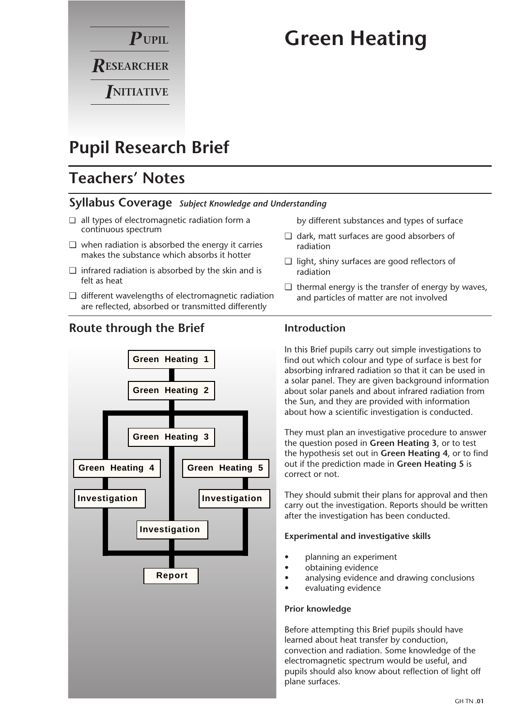

# **Green Heating**

## **Pupil Research Brief**

## **Teachers' Notes**

#### **Syllabus Coverage** *Subject Knowledge and Understanding*

- ❏ all types of electromagnetic radiation form a continuous spectrum
- ❏ when radiation is absorbed the energy it carries makes the substance which absorbs it hotter
- ❏ infrared radiation is absorbed by the skin and is felt as heat
- ❏ different wavelengths of electromagnetic radiation are reflected, absorbed or transmitted differently

#### **Route through the Brief**



by different substances and types of surface

- ❏ dark, matt surfaces are good absorbers of radiation
- ❏ light, shiny surfaces are good reflectors of radiation
- ❏ thermal energy is the transfer of energy by waves, and particles of matter are not involved

#### **Introduction**

In this Brief pupils carry out simple investigations to find out which colour and type of surface is best for absorbing infrared radiation so that it can be used in a solar panel. They are given background information about solar panels and about infrared radiation from the Sun, and they are provided with information about how a scientific investigation is conducted.

They must plan an investigative procedure to answer the question posed in **Green Heating 3**, or to test the hypothesis set out in **Green Heating 4**, or to find out if the prediction made in **Green Heating 5** is correct or not.

They should submit their plans for approval and then carry out the investigation. Reports should be written after the investigation has been conducted.

#### **Experimental and investigative skills**

- planning an experiment
- obtaining evidence
- analysing evidence and drawing conclusions
- evaluating evidence

#### **Prior knowledge**

Before attempting this Brief pupils should have learned about heat transfer by conduction, convection and radiation. Some knowledge of the electromagnetic spectrum would be useful, and pupils should also know about reflection of light off plane surfaces.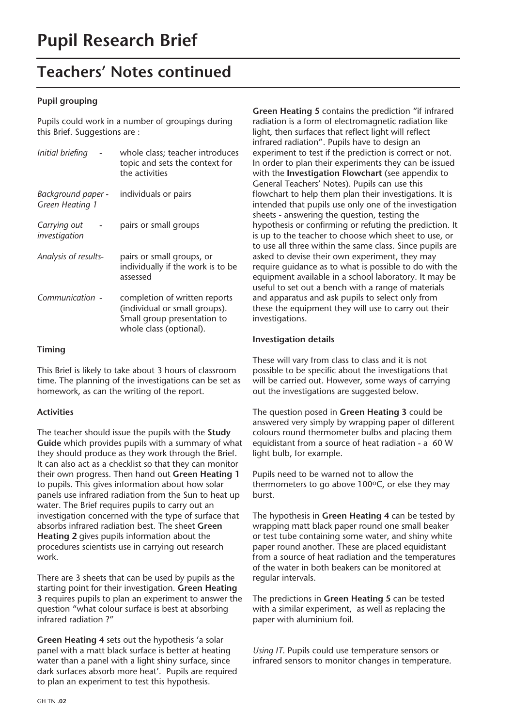## **Teachers' Notes continued**

#### **Pupil grouping**

Pupils could work in a number of groupings during this Brief. Suggestions are :

| Initial briefing                      | whole class; teacher introduces<br>topic and sets the context for<br>the activities                                      |
|---------------------------------------|--------------------------------------------------------------------------------------------------------------------------|
| Background paper -<br>Green Heating 1 | individuals or pairs                                                                                                     |
| Carrying out<br>investigation         | pairs or small groups                                                                                                    |
| Analysis of results-                  | pairs or small groups, or<br>individually if the work is to be<br>assessed                                               |
| Communication -                       | completion of written reports<br>(individual or small groups).<br>Small group presentation to<br>whole class (optional). |

#### **Timing**

This Brief is likely to take about 3 hours of classroom time. The planning of the investigations can be set as homework, as can the writing of the report.

#### **Activities**

The teacher should issue the pupils with the **Study Guide** which provides pupils with a summary of what they should produce as they work through the Brief. It can also act as a checklist so that they can monitor their own progress. Then hand out **Green Heating 1** to pupils. This gives information about how solar panels use infrared radiation from the Sun to heat up water. The Brief requires pupils to carry out an investigation concerned with the type of surface that absorbs infrared radiation best. The sheet **Green Heating 2** gives pupils information about the procedures scientists use in carrying out research work.

There are 3 sheets that can be used by pupils as the starting point for their investigation. **Green Heating 3** requires pupils to plan an experiment to answer the question "what colour surface is best at absorbing infrared radiation ?"

**Green Heating 4** sets out the hypothesis 'a solar panel with a matt black surface is better at heating water than a panel with a light shiny surface, since dark surfaces absorb more heat'. Pupils are required to plan an experiment to test this hypothesis.

**Green Heating 5** contains the prediction "if infrared radiation is a form of electromagnetic radiation like light, then surfaces that reflect light will reflect infrared radiation". Pupils have to design an experiment to test if the prediction is correct or not. In order to plan their experiments they can be issued with the **Investigation Flowchart** (see appendix to General Teachers' Notes). Pupils can use this flowchart to help them plan their investigations. It is intended that pupils use only one of the investigation sheets - answering the question, testing the hypothesis or confirming or refuting the prediction. It is up to the teacher to choose which sheet to use, or to use all three within the same class. Since pupils are asked to devise their own experiment, they may require guidance as to what is possible to do with the equipment available in a school laboratory. It may be useful to set out a bench with a range of materials and apparatus and ask pupils to select only from these the equipment they will use to carry out their investigations.

#### **Investigation details**

These will vary from class to class and it is not possible to be specific about the investigations that will be carried out. However, some ways of carrying out the investigations are suggested below.

The question posed in **Green Heating 3** could be answered very simply by wrapping paper of different colours round thermometer bulbs and placing them equidistant from a source of heat radiation - a 60 W light bulb, for example.

Pupils need to be warned not to allow the thermometers to go above  $100^{\circ}$ C, or else they may burst.

The hypothesis in **Green Heating 4** can be tested by wrapping matt black paper round one small beaker or test tube containing some water, and shiny white paper round another. These are placed equidistant from a source of heat radiation and the temperatures of the water in both beakers can be monitored at regular intervals.

The predictions in **Green Heating 5** can be tested with a similar experiment, as well as replacing the paper with aluminium foil.

*Using IT*. Pupils could use temperature sensors or infrared sensors to monitor changes in temperature.